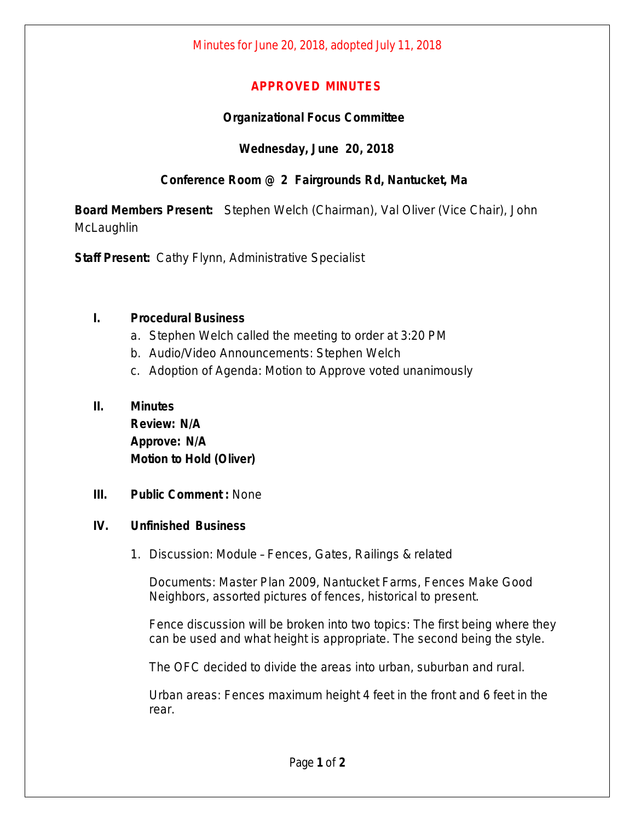## **APPROVED MINUTES**

## **Organizational Focus Committee**

## **Wednesday, June 20, 2018**

# **Conference Room @ 2 Fairgrounds Rd, Nantucket, Ma**

**Board Members Present:** Stephen Welch (Chairman), Val Oliver (Vice Chair), John **McLaughlin** 

**Staff Present:** Cathy Flynn, Administrative Specialist

#### **I. Procedural Business**

- a. Stephen Welch called the meeting to order at 3:20 PM
- b. Audio/Video Announcements: Stephen Welch
- c. Adoption of Agenda: Motion to Approve voted unanimously

#### **II. Minutes**

**Review: N/A Approve: N/A Motion to Hold (Oliver)**

**III. Public Comment :** None

#### **IV. Unfinished Business**

1. Discussion: Module – Fences, Gates, Railings & related

Documents: Master Plan 2009, Nantucket Farms, Fences Make Good Neighbors, assorted pictures of fences, historical to present.

Fence discussion will be broken into two topics: The first being where they can be used and what height is appropriate. The second being the style.

The OFC decided to divide the areas into urban, suburban and rural.

Urban areas: Fences maximum height 4 feet in the front and 6 feet in the rear.